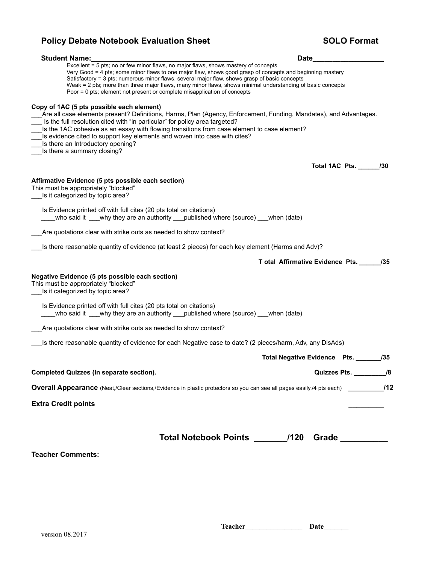| <b>Policy Debate Notebook Evaluation Sheet</b>                                                                                                                                                                                                                                                                                                                                                                                                                                                | <b>SOLO Format</b>                      |
|-----------------------------------------------------------------------------------------------------------------------------------------------------------------------------------------------------------------------------------------------------------------------------------------------------------------------------------------------------------------------------------------------------------------------------------------------------------------------------------------------|-----------------------------------------|
| <b>Student Name:</b>                                                                                                                                                                                                                                                                                                                                                                                                                                                                          | Date___                                 |
| Excellent = 5 pts; no or few minor flaws, no major flaws, shows mastery of concepts<br>Very Good = 4 pts; some minor flaws to one major flaw, shows good grasp of concepts and beginning mastery<br>Satisfactory = 3 pts; numerous minor flaws, several major flaw, shows grasp of basic concepts<br>Weak = 2 pts; more than three major flaws, many minor flaws, shows minimal understanding of basic concepts<br>Poor = 0 pts; element not present or complete misapplication of concepts   |                                         |
| Copy of 1AC (5 pts possible each element)<br>Are all case elements present? Definitions, Harms, Plan (Agency, Enforcement, Funding, Mandates), and Advantages.<br>Is the full resolution cited with "in particular" for policy area targeted?<br>Is the 1AC cohesive as an essay with flowing transitions from case element to case element?<br>Is evidence cited to support key elements and woven into case with cites?<br>Is there an Introductory opening?<br>Is there a summary closing? |                                         |
|                                                                                                                                                                                                                                                                                                                                                                                                                                                                                               | Total 1AC Pts. _______ /30              |
| Affirmative Evidence (5 pts possible each section)<br>This must be appropriately "blocked"<br>Is it categorized by topic area?                                                                                                                                                                                                                                                                                                                                                                |                                         |
| Is Evidence printed off with full cites (20 pts total on citations)<br>who said it why they are an authority published where (source) when (date)                                                                                                                                                                                                                                                                                                                                             |                                         |
| Are quotations clear with strike outs as needed to show context?                                                                                                                                                                                                                                                                                                                                                                                                                              |                                         |
| Is there reasonable quantity of evidence (at least 2 pieces) for each key element (Harms and Adv)?                                                                                                                                                                                                                                                                                                                                                                                            |                                         |
|                                                                                                                                                                                                                                                                                                                                                                                                                                                                                               | T otal Affirmative Evidence Pts.<br>/35 |
| Negative Evidence (5 pts possible each section)<br>This must be appropriately "blocked"<br>Is it categorized by topic area?                                                                                                                                                                                                                                                                                                                                                                   |                                         |
| Is Evidence printed off with full cites (20 pts total on citations)<br>who said it ___why they are an authority ___published where (source) ___when (date)                                                                                                                                                                                                                                                                                                                                    |                                         |
| Are quotations clear with strike outs as needed to show context?                                                                                                                                                                                                                                                                                                                                                                                                                              |                                         |
| Is there reasonable quantity of evidence for each Negative case to date? (2 pieces/harm, Adv, any DisAds)                                                                                                                                                                                                                                                                                                                                                                                     |                                         |
|                                                                                                                                                                                                                                                                                                                                                                                                                                                                                               | Total Negative Evidence Pts. _______/35 |
| <b>Completed Quizzes (in separate section).</b>                                                                                                                                                                                                                                                                                                                                                                                                                                               | Quizzes Pts. __________/8               |
| <b>Overall Appearance</b> (Neat,/Clear sections,/Evidence in plastic protectors so you can see all pages easily./4 pts each) <b>12</b>                                                                                                                                                                                                                                                                                                                                                        |                                         |
| <b>Extra Credit points</b>                                                                                                                                                                                                                                                                                                                                                                                                                                                                    |                                         |
|                                                                                                                                                                                                                                                                                                                                                                                                                                                                                               |                                         |
| Total Notebook Points /120                                                                                                                                                                                                                                                                                                                                                                                                                                                                    | Grade __________                        |
| <b>Teacher Comments:</b>                                                                                                                                                                                                                                                                                                                                                                                                                                                                      |                                         |
|                                                                                                                                                                                                                                                                                                                                                                                                                                                                                               |                                         |
|                                                                                                                                                                                                                                                                                                                                                                                                                                                                                               |                                         |